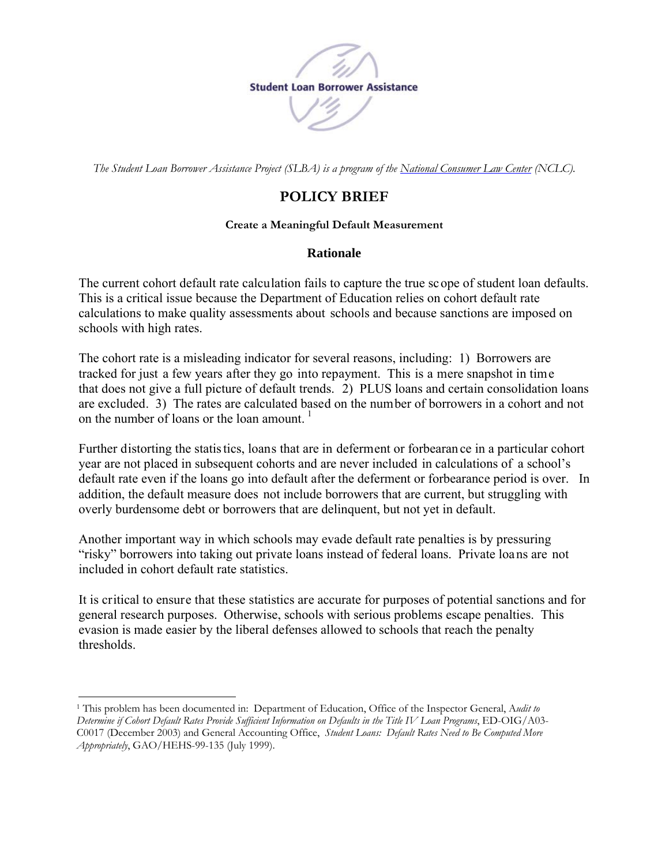

*The Student Loan Borrower Assistance Project (SLBA) is a program of the [National Consumer Law Center](http://www.nclc.org/) (NCLC).*

## **POLICY BRIEF**

## **Create a Meaningful Default Measurement**

## **Rationale**

The current cohort default rate calculation fails to capture the true scope of student loan defaults. This is a critical issue because the Department of Education relies on cohort default rate calculations to make quality assessments about schools and because sanctions are imposed on schools with high rates.

The cohort rate is a misleading indicator for several reasons, including: 1) Borrowers are tracked for just a few years after they go into repayment. This is a mere snapshot in time that does not give a full picture of default trends. 2) PLUS loans and certain consolidation loans are excluded. 3) The rates are calculated based on the number of borrowers in a cohort and not on the number of loans or the loan amount.  $\frac{1}{1}$  $\frac{1}{1}$  $\frac{1}{1}$ 

Further distorting the statis tics, loans that are in deferment or forbearan ce in a particular cohort year are not placed in subsequent cohorts and are never included in calculations of a school's default rate even if the loans go into default after the deferment or forbearance period is over. In addition, the default measure does not include borrowers that are current, but struggling with overly burdensome debt or borrowers that are delinquent, but not yet in default.

Another important way in which schools may evade default rate penalties is by pressuring "risky" borrowers into taking out private loans instead of federal loans. Private loans are not included in cohort default rate statistics.

It is critical to ensure that these statistics are accurate for purposes of potential sanctions and for general research purposes. Otherwise, schools with serious problems escape penalties. This evasion is made easier by the liberal defenses allowed to schools that reach the penalty thresholds.

<u>.</u>

<span id="page-0-0"></span><sup>1</sup> This problem has been documented in: Department of Education, Office of the Inspector General, A*udit to Determine if Cohort Default Rates Provide Sufficient Information on Defaults in the Title IV Loan Programs*, ED-OIG/A03- C0017 (December 2003) and General Accounting Office, *Student Loans: Default Rates Need to Be Computed More Appropriately*, GAO/HEHS-99-135 (July 1999).